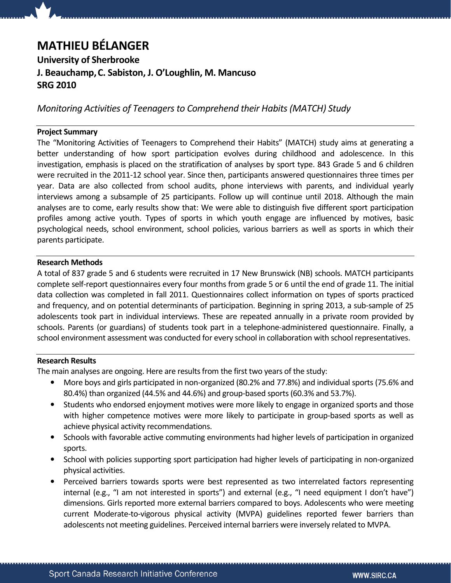# MATHIEU BÉLANGER

University of Sherbrooke J. Beauchamp,C. Sabiston, J. O'Loughlin, M. Mancuso SRG 2010

Monitoring Activities of Teenagers to Comprehend their Habits (MATCH) Study

## Project Summary

The "Monitoring Activities of Teenagers to Comprehend their Habits" (MATCH) study aims at generating a better understanding of how sport participation evolves during childhood and adolescence. In this investigation, emphasis is placed on the stratification of analyses by sport type. 843 Grade 5 and 6 children were recruited in the 2011-12 school year. Since then, participants answered questionnaires three times per year. Data are also collected from school audits, phone interviews with parents, and individual yearly interviews among a subsample of 25 participants. Follow up will continue until 2018. Although the main analyses are to come, early results show that: We were able to distinguish five different sport participation profiles among active youth. Types of sports in which youth engage are influenced by motives, basic psychological needs, school environment, school policies, various barriers as well as sports in which their parents participate.

#### Research Methods

A total of 837 grade 5 and 6 students were recruited in 17 New Brunswick (NB) schools. MATCH participants complete self-report questionnaires every four months from grade 5 or 6 until the end of grade 11. The initial data collection was completed in fall 2011. Questionnaires collect information on types of sports practiced and frequency, and on potential determinants of participation. Beginning in spring 2013, a sub-sample of 25 adolescents took part in individual interviews. These are repeated annually in a private room provided by schools. Parents (or guardians) of students took part in a telephone-administered questionnaire. Finally, a school environment assessment was conducted for every school in collaboration with school representatives.

#### Research Results

The main analyses are ongoing. Here are results from the first two years of the study:

- More boys and girls participated in non-organized (80.2% and 77.8%) and individual sports (75.6% and 80.4%) than organized (44.5% and 44.6%) and group-based sports (60.3% and 53.7%).
- Students who endorsed enjoyment motives were more likely to engage in organized sports and those with higher competence motives were more likely to participate in group-based sports as well as achieve physical activity recommendations.
- Schools with favorable active commuting environments had higher levels of participation in organized sports.
- School with policies supporting sport participation had higher levels of participating in non-organized physical activities.
- Perceived barriers towards sports were best represented as two interrelated factors representing internal (e.g., "I am not interested in sports") and external (e.g., "I need equipment I don't have") dimensions. Girls reported more external barriers compared to boys. Adolescents who were meeting current Moderate-to-vigorous physical activity (MVPA) guidelines reported fewer barriers than adolescents not meeting guidelines. Perceived internal barriers were inversely related to MVPA.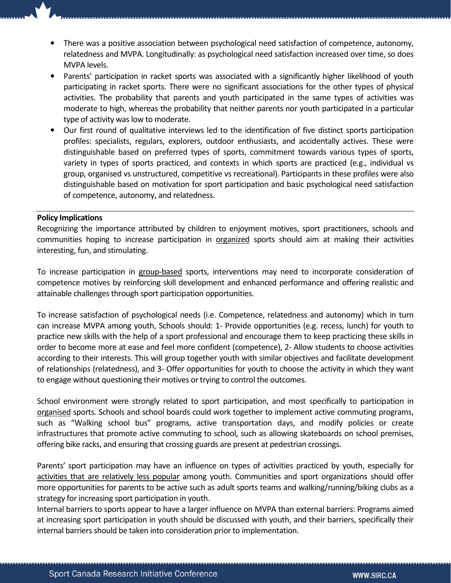- There was a positive association between psychological need satisfaction of competence, autonomy, relatedness and MVPA. Longitudinally: as psychological need satisfaction increased over time, so does MVPA levels.
- Parents' participation in racket sports was associated with a significantly higher likelihood of youth participating in racket sports. There were no significant associations for the other types of physical activities. The probability that parents and youth participated in the same types of activities was moderate to high, whereas the probability that neither parents nor youth participated in a particular type of activity was low to moderate.
- Our first round of qualitative interviews led to the identification of five distinct sports participation profiles: specialists, regulars, explorers, outdoor enthusiasts, and accidentally actives. These were distinguishable based on preferred types of sports, commitment towards various types of sports, variety in types of sports practiced, and contexts in which sports are practiced (e.g., individual vs group, organised vs unstructured, competitive vs recreational). Participants in these profiles were also distinguishable based on motivation for sport participation and basic psychological need satisfaction of competence, autonomy, and relatedness.

## Policy Implications

Recognizing the importance attributed by children to enjoyment motives, sport practitioners, schools and communities hoping to increase participation in organized sports should aim at making their activities interesting, fun, and stimulating.

To increase participation in group-based sports, interventions may need to incorporate consideration of competence motives by reinforcing skill development and enhanced performance and offering realistic and attainable challenges through sport participation opportunities.

To increase satisfaction of psychological needs (i.e. Competence, relatedness and autonomy) which in turn can increase MVPA among youth, Schools should: 1- Provide opportunities (e.g. recess, lunch) for youth to practice new skills with the help of a sport professional and encourage them to keep practicing these skills in order to become more at ease and feel more confident (competence), 2- Allow students to choose activities according to their interests. This will group together youth with similar objectives and facilitate development of relationships (relatedness), and 3- Offer opportunities for youth to choose the activity in which they want to engage without questioning their motives or trying to control the outcomes.

School environment were strongly related to sport participation, and most specifically to participation in organised sports. Schools and school boards could work together to implement active commuting programs, such as "Walking school bus" programs, active transportation days, and modify policies or create infrastructures that promote active commuting to school, such as allowing skateboards on school premises, offering bike racks, and ensuring that crossing guards are present at pedestrian crossings.

Parents' sport participation may have an influence on types of activities practiced by youth, especially for activities that are relatively less popular among youth. Communities and sport organizations should offer more opportunities for parents to be active such as adult sports teams and walking/running/biking clubs as a strategy for increasing sport participation in youth.

Internal barriers to sports appear to have a larger influence on MVPA than external barriers: Programs aimed at increasing sport participation in youth should be discussed with youth, and their barriers, specifically their internal barriers should be taken into consideration prior to implementation.